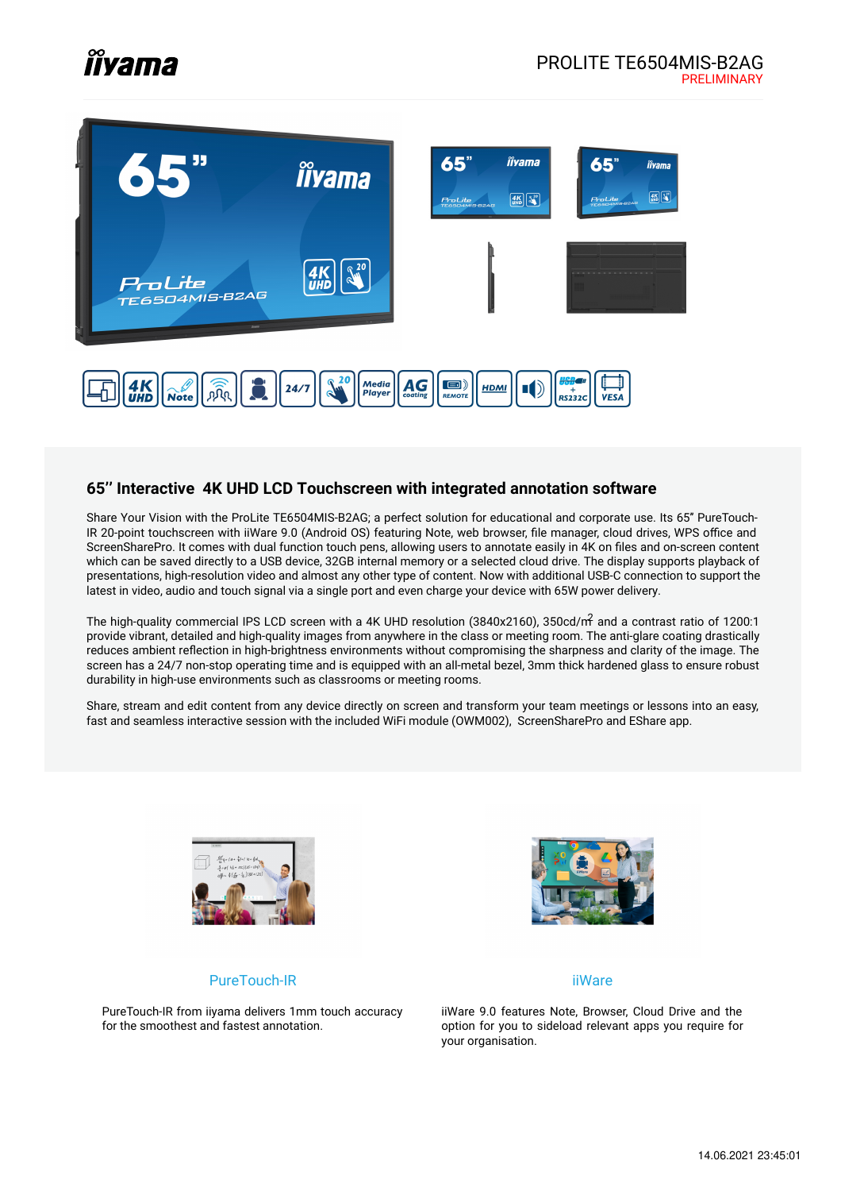# *îîyama*



#### **65'' Interactive 4K UHD LCD Touchscreen with integrated annotation software**

Share Your Vision with the ProLite TE6504MIS-B2AG; a perfect solution for educational and corporate use. Its 65'' PureTouch-IR 20-point touchscreen with iiWare 9.0 (Android OS) featuring Note, web browser, file manager, cloud drives, WPS office and ScreenSharePro. It comes with dual function touch pens, allowing users to annotate easily in 4K on files and on-screen content which can be saved directly to a USB device, 32GB internal memory or a selected cloud drive. The display supports playback of presentations, high-resolution video and almost any other type of content. Now with additional USB-C connection to support the latest in video, audio and touch signal via a single port and even charge your device with 65W power delivery.

The high-quality commercial IPS LCD screen with a 4K UHD resolution (3840x2160), 350cd/ $m<sup>2</sup>$  and a contrast ratio of 1200:1 provide vibrant, detailed and high-quality images from anywhere in the class or meeting room. The anti-glare coating drastically reduces ambient reflection in high-brightness environments without compromising the sharpness and clarity of the image. The screen has a 24/7 non-stop operating time and is equipped with an all-metal bezel, 3mm thick hardened glass to ensure robust durability in high-use environments such as classrooms or meeting rooms.

Share, stream and edit content from any device directly on screen and transform your team meetings or lessons into an easy, fast and seamless interactive session with the included WiFi module (OWM002), ScreenSharePro and EShare app.





#### iiWare

PureTouch-IR from iiyama delivers 1mm touch accuracy for the smoothest and fastest annotation.

PureTouch-IR

iiWare 9.0 features Note, Browser, Cloud Drive and the option for you to sideload relevant apps you require for your organisation.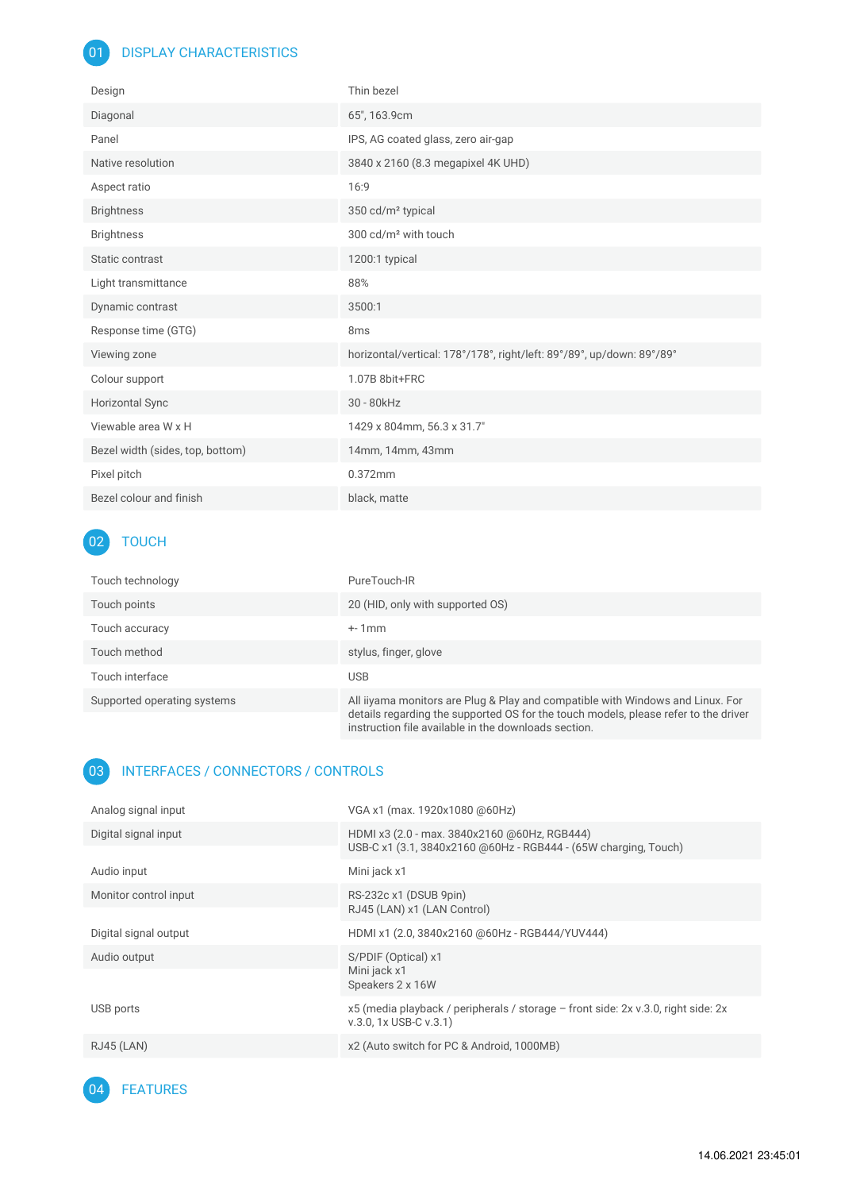#### 01 DISPLAY CHARACTERISTICS

| Design                           | Thin bezel                                                            |
|----------------------------------|-----------------------------------------------------------------------|
| Diagonal                         | 65", 163.9cm                                                          |
| Panel                            | IPS, AG coated glass, zero air-gap                                    |
| Native resolution                | 3840 x 2160 (8.3 megapixel 4K UHD)                                    |
| Aspect ratio                     | 16:9                                                                  |
| <b>Brightness</b>                | 350 cd/m <sup>2</sup> typical                                         |
| <b>Brightness</b>                | 300 cd/m <sup>2</sup> with touch                                      |
| Static contrast                  | 1200:1 typical                                                        |
| Light transmittance              | 88%                                                                   |
| Dynamic contrast                 | 3500:1                                                                |
| Response time (GTG)              | 8 <sub>ms</sub>                                                       |
| Viewing zone                     | horizontal/vertical: 178°/178°, right/left: 89°/89°, up/down: 89°/89° |
| Colour support                   | 1.07B 8bit+FRC                                                        |
| <b>Horizontal Sync</b>           | 30 - 80kHz                                                            |
| Viewable area W x H              | 1429 x 804mm, 56.3 x 31.7"                                            |
| Bezel width (sides, top, bottom) | 14mm, 14mm, 43mm                                                      |
| Pixel pitch                      | 0.372mm                                                               |
| Bezel colour and finish          | black, matte                                                          |

# 02 TOUCH

| Touch technology            | PureTouch-IR                                                                                                                                                                                                                  |
|-----------------------------|-------------------------------------------------------------------------------------------------------------------------------------------------------------------------------------------------------------------------------|
| Touch points                | 20 (HID, only with supported OS)                                                                                                                                                                                              |
| Touch accuracy              | $+1$ mm                                                                                                                                                                                                                       |
| Touch method                | stylus, finger, glove                                                                                                                                                                                                         |
| Touch interface             | USB                                                                                                                                                                                                                           |
| Supported operating systems | All iiyama monitors are Plug & Play and compatible with Windows and Linux. For<br>details regarding the supported OS for the touch models, please refer to the driver<br>instruction file available in the downloads section. |

#### 03 INTERFACES / CONNECTORS / CONTROLS

| Analog signal input   | VGA x1 (max. 1920x1080 @60Hz)                                                                                   |
|-----------------------|-----------------------------------------------------------------------------------------------------------------|
| Digital signal input  | HDMI x3 (2.0 - max. 3840x2160 @60Hz, RGB444)<br>USB-C x1 (3.1, 3840x2160 @60Hz - RGB444 - (65W charging, Touch) |
| Audio input           | Mini jack x1                                                                                                    |
| Monitor control input | RS-232c x1 (DSUB 9pin)<br>RJ45 (LAN) x1 (LAN Control)                                                           |
| Digital signal output | HDMI x1 (2.0, 3840x2160 @60Hz - RGB444/YUV444)                                                                  |
| Audio output          | S/PDIF (Optical) x1<br>Mini jack x1<br>Speakers 2 x 16W                                                         |
| USB ports             | x5 (media playback / peripherals / storage - front side: 2x v.3.0, right side: 2x<br>v.3.0, 1x USB-C v.3.1)     |
| <b>RJ45 (LAN)</b>     | x2 (Auto switch for PC & Android, 1000MB)                                                                       |

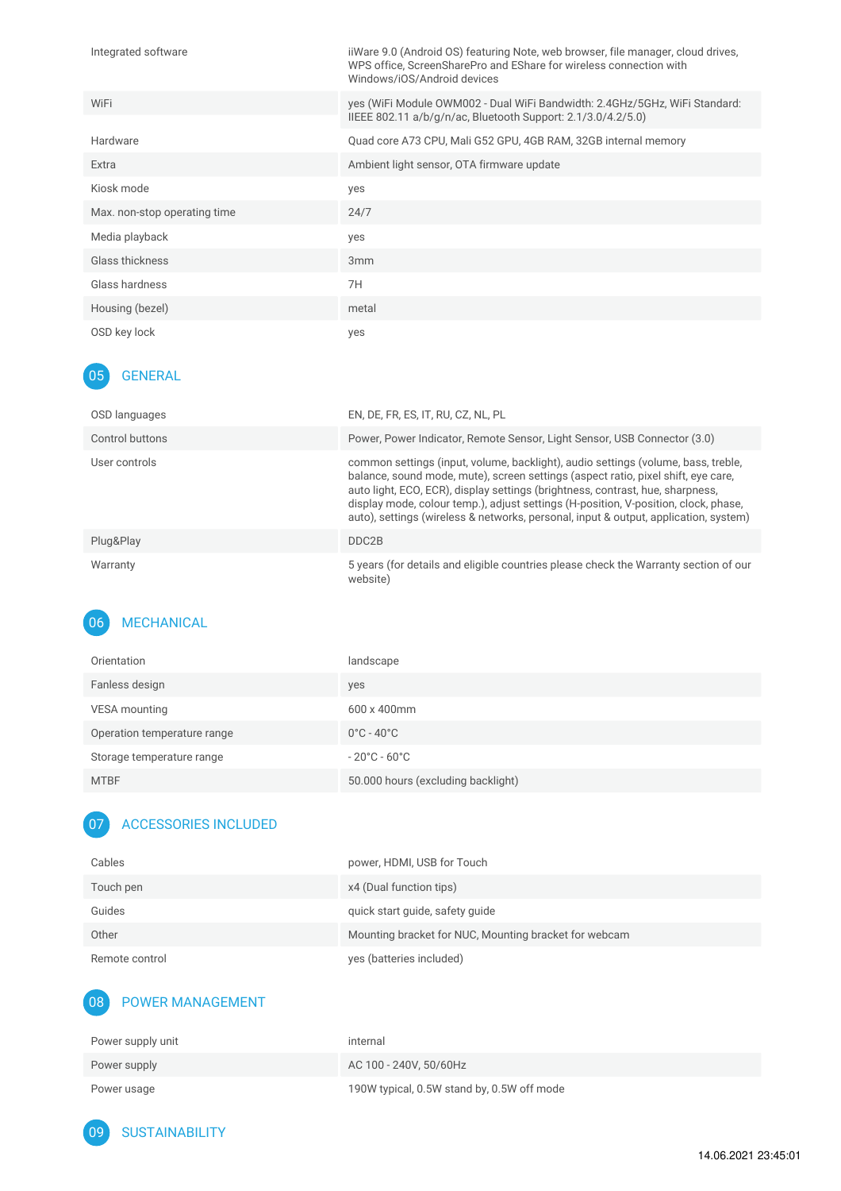| Integrated software          | iiWare 9.0 (Android OS) featuring Note, web browser, file manager, cloud drives,<br>WPS office, ScreenSharePro and EShare for wireless connection with<br>Windows/iOS/Android devices |
|------------------------------|---------------------------------------------------------------------------------------------------------------------------------------------------------------------------------------|
| WiFi                         | yes (WiFi Module OWM002 - Dual WiFi Bandwidth: 2.4GHz/5GHz, WiFi Standard:<br>IIEEE 802.11 a/b/g/n/ac, Bluetooth Support: 2.1/3.0/4.2/5.0)                                            |
| Hardware                     | Quad core A73 CPU, Mali G52 GPU, 4GB RAM, 32GB internal memory                                                                                                                        |
| Extra                        | Ambient light sensor, OTA firmware update                                                                                                                                             |
| Kiosk mode                   | yes                                                                                                                                                                                   |
| Max. non-stop operating time | 24/7                                                                                                                                                                                  |
| Media playback               | yes                                                                                                                                                                                   |
| Glass thickness              | 3 <sub>mm</sub>                                                                                                                                                                       |
| Glass hardness               | 7H                                                                                                                                                                                    |
| Housing (bezel)              | metal                                                                                                                                                                                 |
| OSD key lock                 | yes                                                                                                                                                                                   |

### 05 GENERAL

| OSD languages   | EN, DE, FR, ES, IT, RU, CZ, NL, PL                                                                                                                                                                                                                                                                                                                                                                                                      |
|-----------------|-----------------------------------------------------------------------------------------------------------------------------------------------------------------------------------------------------------------------------------------------------------------------------------------------------------------------------------------------------------------------------------------------------------------------------------------|
| Control buttons | Power, Power Indicator, Remote Sensor, Light Sensor, USB Connector (3.0)                                                                                                                                                                                                                                                                                                                                                                |
| User controls   | common settings (input, volume, backlight), audio settings (volume, bass, treble,<br>balance, sound mode, mute), screen settings (aspect ratio, pixel shift, eye care,<br>auto light, ECO, ECR), display settings (brightness, contrast, hue, sharpness,<br>display mode, colour temp.), adjust settings (H-position, V-position, clock, phase,<br>auto), settings (wireless & networks, personal, input & output, application, system) |
| Plug&Play       | DDC <sub>2</sub> B                                                                                                                                                                                                                                                                                                                                                                                                                      |
| Warranty        | 5 years (for details and eligible countries please check the Warranty section of our<br>website)                                                                                                                                                                                                                                                                                                                                        |

### 06 MECHANICAL

| Orientation                 | landscape                          |
|-----------------------------|------------------------------------|
| Fanless design              | yes                                |
| VESA mounting               | $600 \times 400$ mm                |
| Operation temperature range | $0^{\circ}$ C - 40 $^{\circ}$ C    |
| Storage temperature range   | $-20^{\circ}$ C - 60 $^{\circ}$ C  |
| <b>MTBF</b>                 | 50.000 hours (excluding backlight) |

## 07 ACCESSORIES INCLUDED

| Cables         | power, HDMI, USB for Touch                            |
|----------------|-------------------------------------------------------|
| Touch pen      | x4 (Dual function tips)                               |
| Guides         | quick start quide, safety quide                       |
| Other          | Mounting bracket for NUC, Mounting bracket for webcam |
| Remote control | yes (batteries included)                              |

# 08 POWER MANAGEMENT

| Power supply unit | internal                                   |
|-------------------|--------------------------------------------|
| Power supply      | AC 100 - 240V, 50/60Hz                     |
| Power usage       | 190W typical, 0.5W stand by, 0.5W off mode |

09 SUSTAINABILITY